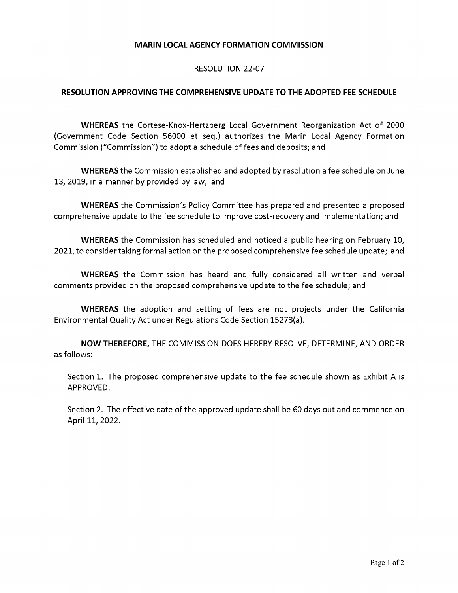## **MARIN LOCAL AGENCY FORMATION COMMISSION**

## RESOLUTION 22-07

## **RESOLUTION APPROVING THE COMPREHENSIVE UPDATE TO THE ADOPTED FEE SCHEDULE**

**WHEREAS** the Cortese-Knox-Hertzberg Local Government Reorganization Act of 2000 (Government Code Section 56000 et seq.) authorizes the Marin Local Agency Formation Commission ("Commission") to adopt a schedule of fees and deposits; and

**WHEREAS** the Commission established and adopted by resolution a fee schedule on June 13, 2019, in a manner by provided by law; and

**WHEREAS** the Commission's Policy Committee has prepared and presented a proposed comprehensive update to the fee schedule to improve cost-recovery and implementation; and

**WHEREAS** the Commission has scheduled and noticed a public hearing on February 10, 2021, to consider taking formal action on the proposed comprehensive fee schedule update; and

**WHEREAS** the Commission has heard and fully considered all written and verbal comments provided on the proposed comprehensive update to the fee schedule; and

**WHEREAS** the adoption and setting of fees are not projects under the California Environmental Quality Act under Regulations Code Section 15273(a).

**NOW THEREFORE,** THE COMMISSION DOES HEREBY RESOLVE, DETERMINE, AND ORDER as follows:

Section 1. The proposed comprehensive update to the fee schedule shown as Exhibit A is APPROVED.

Section 2. The effective date of the approved update shall be 60 days out and commence on April 11, 2022.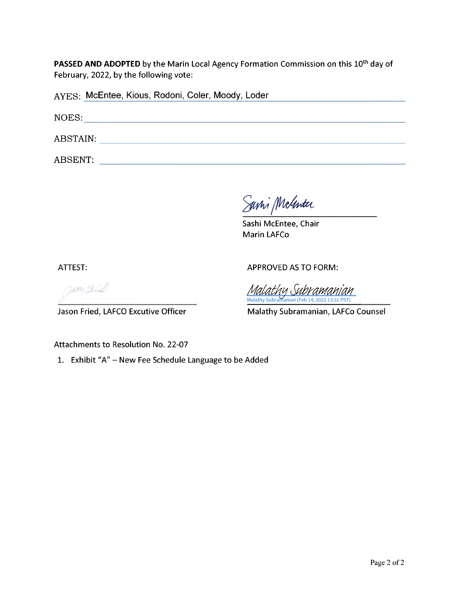**PASSED AND ADOPTED** by the Marin Local Agency Formation Commission on this 10<sup>th</sup> day of February, 2022, by the following vote:

| AYES: McEntee, Kious, Rodoni, Coler, Moody, Loder |  |
|---------------------------------------------------|--|
| NOES:                                             |  |
| ABSTAIN:                                          |  |
| ABSENT:                                           |  |

Savni McGenter

Sashi McEntee, Chair Marin LAFCo

ATTEST:

APPROVED AS TO FORM:

Wern Fried

Jason Fried, LAFCO Executive Officer

<u>Malathy Subramanian</u> Malathy Subramanian (Feb 14, 2022 13:31 PST)

Malathy Subramanian, LAFCo Counsel

Attachments to Resolution No. 22-07

1. Exhibit "A" - New Fee Schedule Language to be Added